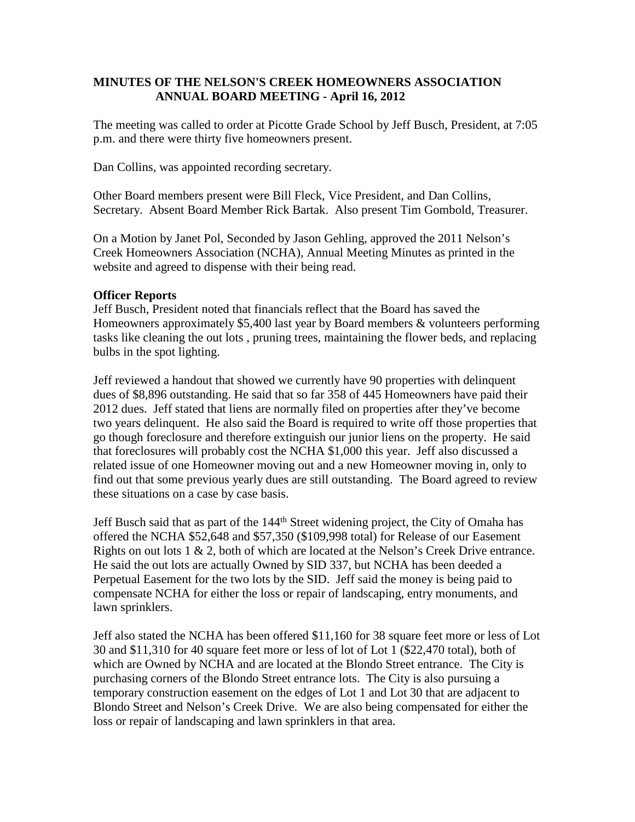### **MINUTES OF THE NELSON'S CREEK HOMEOWNERS ASSOCIATION ANNUAL BOARD MEETING - April 16, 2012**

The meeting was called to order at Picotte Grade School by Jeff Busch, President, at 7:05 p.m. and there were thirty five homeowners present.

Dan Collins, was appointed recording secretary.

Other Board members present were Bill Fleck, Vice President, and Dan Collins, Secretary. Absent Board Member Rick Bartak. Also present Tim Gombold, Treasurer.

On a Motion by Janet Pol, Seconded by Jason Gehling, approved the 2011 Nelson's Creek Homeowners Association (NCHA), Annual Meeting Minutes as printed in the website and agreed to dispense with their being read.

### **Officer Reports**

Jeff Busch, President noted that financials reflect that the Board has saved the Homeowners approximately \$5,400 last year by Board members & volunteers performing tasks like cleaning the out lots , pruning trees, maintaining the flower beds, and replacing bulbs in the spot lighting.

Jeff reviewed a handout that showed we currently have 90 properties with delinquent dues of \$8,896 outstanding. He said that so far 358 of 445 Homeowners have paid their 2012 dues. Jeff stated that liens are normally filed on properties after they've become two years delinquent. He also said the Board is required to write off those properties that go though foreclosure and therefore extinguish our junior liens on the property. He said that foreclosures will probably cost the NCHA \$1,000 this year. Jeff also discussed a related issue of one Homeowner moving out and a new Homeowner moving in, only to find out that some previous yearly dues are still outstanding. The Board agreed to review these situations on a case by case basis.

Jeff Busch said that as part of the 144<sup>th</sup> Street widening project, the City of Omaha has offered the NCHA \$52,648 and \$57,350 (\$109,998 total) for Release of our Easement Rights on out lots 1 & 2, both of which are located at the Nelson's Creek Drive entrance. He said the out lots are actually Owned by SID 337, but NCHA has been deeded a Perpetual Easement for the two lots by the SID. Jeff said the money is being paid to compensate NCHA for either the loss or repair of landscaping, entry monuments, and lawn sprinklers.

Jeff also stated the NCHA has been offered \$11,160 for 38 square feet more or less of Lot 30 and \$11,310 for 40 square feet more or less of lot of Lot 1 (\$22,470 total), both of which are Owned by NCHA and are located at the Blondo Street entrance. The City is purchasing corners of the Blondo Street entrance lots. The City is also pursuing a temporary construction easement on the edges of Lot 1 and Lot 30 that are adjacent to Blondo Street and Nelson's Creek Drive. We are also being compensated for either the loss or repair of landscaping and lawn sprinklers in that area.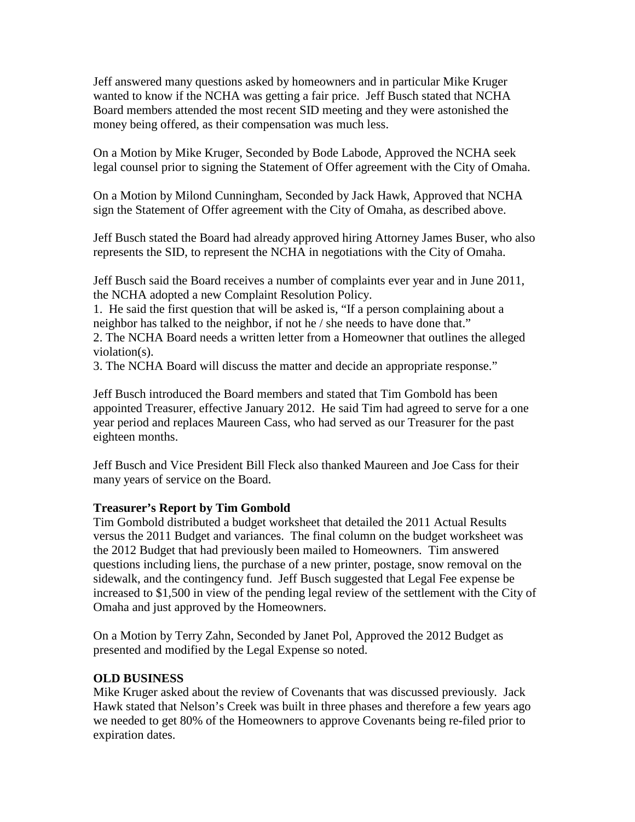Jeff answered many questions asked by homeowners and in particular Mike Kruger wanted to know if the NCHA was getting a fair price. Jeff Busch stated that NCHA Board members attended the most recent SID meeting and they were astonished the money being offered, as their compensation was much less.

On a Motion by Mike Kruger, Seconded by Bode Labode, Approved the NCHA seek legal counsel prior to signing the Statement of Offer agreement with the City of Omaha.

On a Motion by Milond Cunningham, Seconded by Jack Hawk, Approved that NCHA sign the Statement of Offer agreement with the City of Omaha, as described above.

Jeff Busch stated the Board had already approved hiring Attorney James Buser, who also represents the SID, to represent the NCHA in negotiations with the City of Omaha.

Jeff Busch said the Board receives a number of complaints ever year and in June 2011, the NCHA adopted a new Complaint Resolution Policy.

1. He said the first question that will be asked is, "If a person complaining about a neighbor has talked to the neighbor, if not he / she needs to have done that."

2. The NCHA Board needs a written letter from a Homeowner that outlines the alleged violation(s).

3. The NCHA Board will discuss the matter and decide an appropriate response."

Jeff Busch introduced the Board members and stated that Tim Gombold has been appointed Treasurer, effective January 2012. He said Tim had agreed to serve for a one year period and replaces Maureen Cass, who had served as our Treasurer for the past eighteen months.

Jeff Busch and Vice President Bill Fleck also thanked Maureen and Joe Cass for their many years of service on the Board.

# **Treasurer's Report by Tim Gombold**

Tim Gombold distributed a budget worksheet that detailed the 2011 Actual Results versus the 2011 Budget and variances. The final column on the budget worksheet was the 2012 Budget that had previously been mailed to Homeowners. Tim answered questions including liens, the purchase of a new printer, postage, snow removal on the sidewalk, and the contingency fund. Jeff Busch suggested that Legal Fee expense be increased to \$1,500 in view of the pending legal review of the settlement with the City of Omaha and just approved by the Homeowners.

On a Motion by Terry Zahn, Seconded by Janet Pol, Approved the 2012 Budget as presented and modified by the Legal Expense so noted.

# **OLD BUSINESS**

Mike Kruger asked about the review of Covenants that was discussed previously. Jack Hawk stated that Nelson's Creek was built in three phases and therefore a few years ago we needed to get 80% of the Homeowners to approve Covenants being re-filed prior to expiration dates.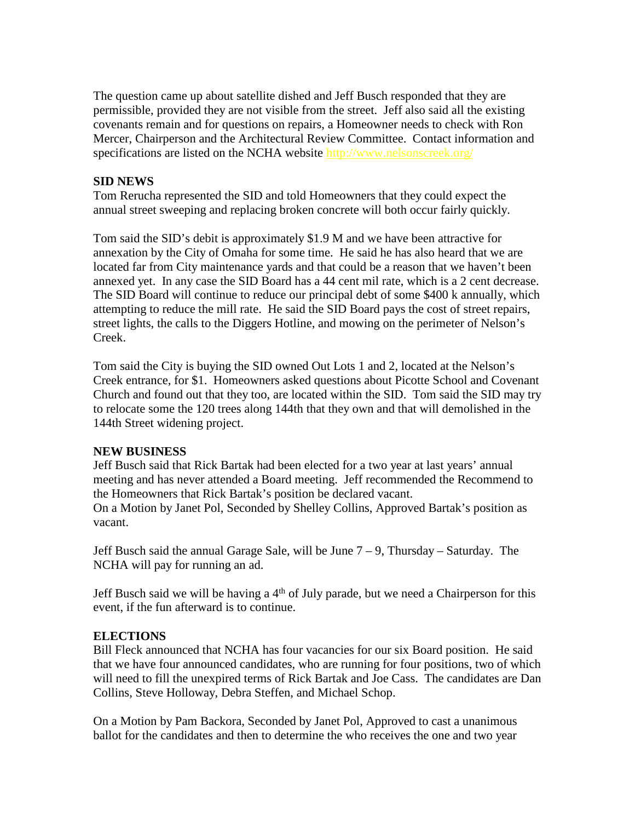The question came up about satellite dished and Jeff Busch responded that they are permissible, provided they are not visible from the street. Jeff also said all the existing covenants remain and for questions on repairs, a Homeowner needs to check with Ron Mercer, Chairperson and the Architectural Review Committee. Contact information and specifications are listed on the NCHA website http://www.nelsonscreek.org/

### **SID NEWS**

Tom Rerucha represented the SID and told Homeowners that they could expect the annual street sweeping and replacing broken concrete will both occur fairly quickly.

Tom said the SID's debit is approximately \$1.9 M and we have been attractive for annexation by the City of Omaha for some time. He said he has also heard that we are located far from City maintenance yards and that could be a reason that we haven't been annexed yet. In any case the SID Board has a 44 cent mil rate, which is a 2 cent decrease. The SID Board will continue to reduce our principal debt of some \$400 k annually, which attempting to reduce the mill rate. He said the SID Board pays the cost of street repairs, street lights, the calls to the Diggers Hotline, and mowing on the perimeter of Nelson's Creek.

Tom said the City is buying the SID owned Out Lots 1 and 2, located at the Nelson's Creek entrance, for \$1. Homeowners asked questions about Picotte School and Covenant Church and found out that they too, are located within the SID. Tom said the SID may try to relocate some the 120 trees along 144th that they own and that will demolished in the 144th Street widening project.

### **NEW BUSINESS**

Jeff Busch said that Rick Bartak had been elected for a two year at last years' annual meeting and has never attended a Board meeting. Jeff recommended the Recommend to the Homeowners that Rick Bartak's position be declared vacant. On a Motion by Janet Pol, Seconded by Shelley Collins, Approved Bartak's position as vacant.

Jeff Busch said the annual Garage Sale, will be June 7 – 9, Thursday – Saturday. The NCHA will pay for running an ad.

Jeff Busch said we will be having a  $4<sup>th</sup>$  of July parade, but we need a Chairperson for this event, if the fun afterward is to continue.

### **ELECTIONS**

Bill Fleck announced that NCHA has four vacancies for our six Board position. He said that we have four announced candidates, who are running for four positions, two of which will need to fill the unexpired terms of Rick Bartak and Joe Cass. The candidates are Dan Collins, Steve Holloway, Debra Steffen, and Michael Schop.

On a Motion by Pam Backora, Seconded by Janet Pol, Approved to cast a unanimous ballot for the candidates and then to determine the who receives the one and two year